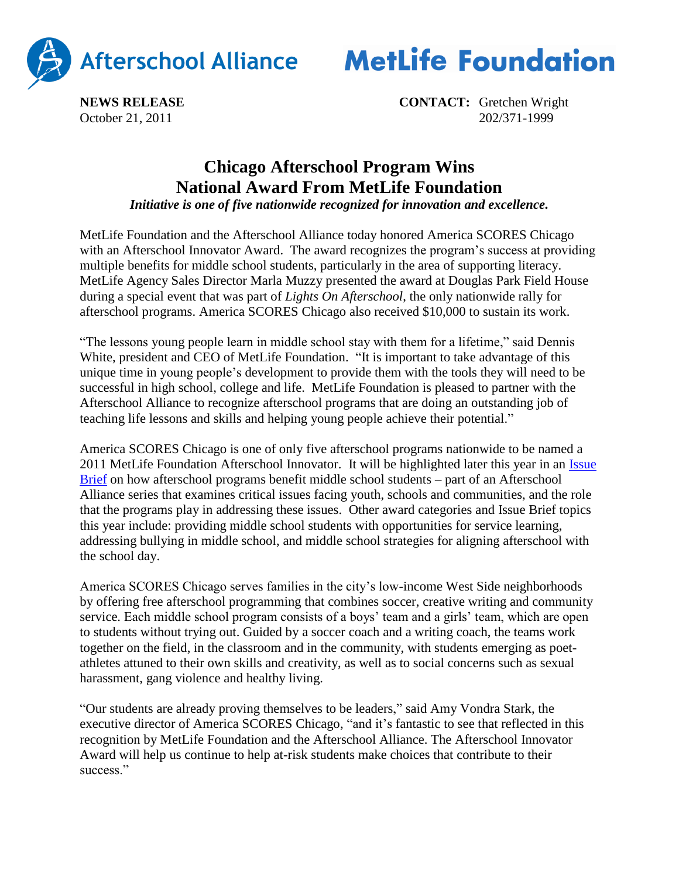

**MetLife Foundation** 

**NEWS RELEASE CONTACT:** Gretchen Wright October 21, 2011 202/371-1999

## **Chicago Afterschool Program Wins National Award From MetLife Foundation**

*Initiative is one of five nationwide recognized for innovation and excellence.*

MetLife Foundation and the Afterschool Alliance today honored America SCORES Chicago with an Afterschool Innovator Award. The award recognizes the program's success at providing multiple benefits for middle school students, particularly in the area of supporting literacy. MetLife Agency Sales Director Marla Muzzy presented the award at Douglas Park Field House during a special event that was part of *Lights On Afterschool*, the only nationwide rally for afterschool programs. America SCORES Chicago also received \$10,000 to sustain its work.

"The lessons young people learn in middle school stay with them for a lifetime," said Dennis White, president and CEO of MetLife Foundation. "It is important to take advantage of this unique time in young people's development to provide them with the tools they will need to be successful in high school, college and life. MetLife Foundation is pleased to partner with the Afterschool Alliance to recognize afterschool programs that are doing an outstanding job of teaching life lessons and skills and helping young people achieve their potential."

America SCORES Chicago is one of only five afterschool programs nationwide to be named a 2011 MetLife Foundation Afterschool Innovator. It will be highlighted later this year in an [Issue](http://www.afterschoolalliance.org/researchIssueBriefs.cfm)  [Brief](http://www.afterschoolalliance.org/researchIssueBriefs.cfm) on how afterschool programs benefit middle school students – part of an Afterschool Alliance series that examines critical issues facing youth, schools and communities, and the role that the programs play in addressing these issues. Other award categories and Issue Brief topics this year include: providing middle school students with opportunities for service learning, addressing bullying in middle school, and middle school strategies for aligning afterschool with the school day.

America SCORES Chicago serves families in the city's low-income West Side neighborhoods by offering free afterschool programming that combines soccer, creative writing and community service. Each middle school program consists of a boys' team and a girls' team, which are open to students without trying out. Guided by a soccer coach and a writing coach, the teams work together on the field, in the classroom and in the community, with students emerging as poetathletes attuned to their own skills and creativity, as well as to social concerns such as sexual harassment, gang violence and healthy living.

"Our students are already proving themselves to be leaders," said Amy Vondra Stark, the executive director of America SCORES Chicago, "and it's fantastic to see that reflected in this recognition by MetLife Foundation and the Afterschool Alliance. The Afterschool Innovator Award will help us continue to help at-risk students make choices that contribute to their success<sup>"</sup>